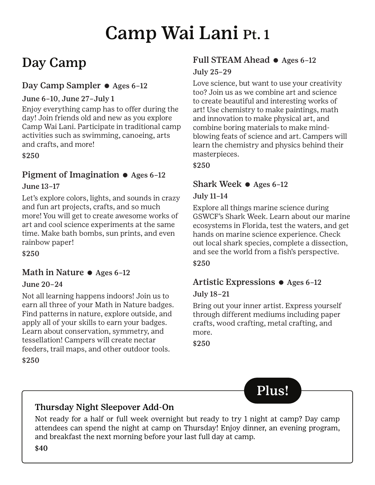# Camp Wai Lani Pt. 1

## Day Camp

#### Day Camp Sampler ● Ages 6-12

#### June 6–10, June 27–July 1

Enjoy everything camp has to offer during the day! Join friends old and new as you explore Camp Wai Lani. Participate in traditional camp activities such as swimming, canoeing, arts and crafts, and more!

\$250

## Pigment of Imagination  $\bullet$  Ages 6-12

#### June 13–17

Let's explore colors, lights, and sounds in crazy and fun art projects, crafts, and so much more! You will get to create awesome works of art and cool science experiments at the same time. Make bath bombs, sun prints, and even rainbow paper!

\$250

## Math in Nature  $\bullet$  Ages 6-12

#### June 20–24

Not all learning happens indoors! Join us to earn all three of your Math in Nature badges. Find patterns in nature, explore outside, and apply all of your skills to earn your badges. Learn about conservation, symmetry, and tessellation! Campers will create nectar feeders, trail maps, and other outdoor tools.

\$250

## Full STEAM Ahead  $\bullet$  Ages 6-12

#### July 25–29

Love science, but want to use your creativity too? Join us as we combine art and science to create beautiful and interesting works of art! Use chemistry to make paintings, math and innovation to make physical art, and combine boring materials to make mindblowing feats of science and art. Campers will learn the chemistry and physics behind their masterpieces.

\$250

## Shark Week  $\bullet$  Ages 6-12

#### July 11–14

Explore all things marine science during GSWCF's Shark Week. Learn about our marine ecosystems in Florida, test the waters, and get hands on marine science experience. Check out local shark species, complete a dissection, and see the world from a fish's perspective. \$250

## Artistic Expressions  $\bullet$  Ages 6-12

#### July 18–21

Bring out your inner artist. Express yourself through different mediums including paper crafts, wood crafting, metal crafting, and more.

\$250



## Thursday Night Sleepover Add-On

Not ready for a half or full week overnight but ready to try 1 night at camp? Day camp attendees can spend the night at camp on Thursday! Enjoy dinner, an evening program, and breakfast the next morning before your last full day at camp.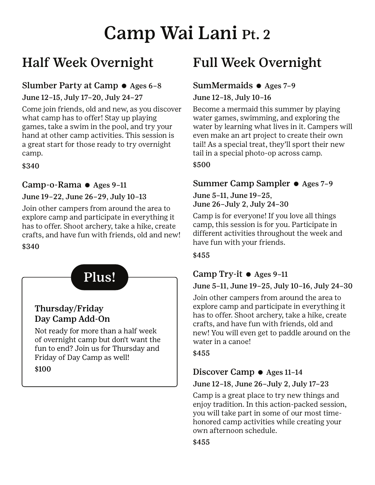# Camp Wai Lani Pt. 2

## Half Week Overnight

### Slumber Party at Camp  $\bullet$  Ages 6-8

June 12–15, July 17–20, July 24–27

Come join friends, old and new, as you discover what camp has to offer! Stay up playing games, take a swim in the pool, and try your hand at other camp activities. This session is a great start for those ready to try overnight camp.

\$340

#### Camp-o-Rama  $\bullet$  Ages 9-11

#### June 19–22, June 26–29, July 10–13

Join other campers from around the area to explore camp and participate in everything it has to offer. Shoot archery, take a hike, create crafts, and have fun with friends, old and new!

#### \$340



## Full Week Overnight

### SumMermaids  $\bullet$  Ages 7-9

#### June 12–18, July 10–16

Become a mermaid this summer by playing water games, swimming, and exploring the water by learning what lives in it. Campers will even make an art project to create their own tail! As a special treat, they'll sport their new tail in a special photo-op across camp.

\$500

#### Summer Camp Sampler ● Ages 7-9

June 5–11, June 19–25, June 26–July 2, July 24–30

Camp is for everyone! If you love all things camp, this session is for you. Participate in different activities throughout the week and have fun with your friends.

#### \$455

## Camp Try-it  $\bullet$  Ages 9-11

#### June 5–11, June 19–25, July 10–16, July 24–30

Join other campers from around the area to explore camp and participate in everything it has to offer. Shoot archery, take a hike, create crafts, and have fun with friends, old and new! You will even get to paddle around on the water in a canoe!

\$455

## Discover Camp  $\bullet$  Ages 11-14

#### June 12–18, June 26–July 2, July 17–23

Camp is a great place to try new things and enjoy tradition. In this action-packed session, you will take part in some of our most timehonored camp activities while creating your own afternoon schedule.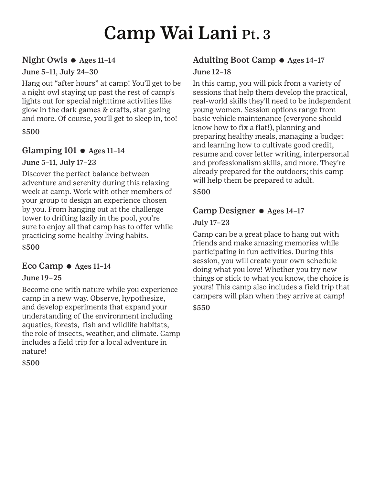# Camp Wai Lani Pt. 3

#### Night Owls e Ages 11–14

#### June 5–11, July 24–30

Hang out "after hours" at camp! You'll get to be a night owl staying up past the rest of camp's lights out for special nighttime activities like glow in the dark games & crafts, star gazing and more. Of course, you'll get to sleep in, too!

#### \$500

#### Glamping  $101 \bullet$  Ages  $11-14$

#### June 5–11, July 17–23

Discover the perfect balance between adventure and serenity during this relaxing week at camp. Work with other members of your group to design an experience chosen by you. From hanging out at the challenge tower to drifting lazily in the pool, you're sure to enjoy all that camp has to offer while practicing some healthy living habits.

\$500

#### Eco Camp  $\bullet$  Ages 11-14

#### June 19–25

Become one with nature while you experience camp in a new way. Observe, hypothesize, and develop experiments that expand your understanding of the environment including aquatics, forests, fish and wildlife habitats, the role of insects, weather, and climate. Camp includes a field trip for a local adventure in nature!

\$500

### Adulting Boot Camp  $\bullet$  Ages 14-17 June 12–18

In this camp, you will pick from a variety of sessions that help them develop the practical, real-world skills they'll need to be independent young women. Session options range from basic vehicle maintenance (everyone should know how to fix a flat!), planning and preparing healthy meals, managing a budget and learning how to cultivate good credit, resume and cover letter writing, interpersonal and professionalism skills, and more. They're already prepared for the outdoors; this camp will help them be prepared to adult.

\$500

## Camp Designer  $\bullet$  Ages 14-17

#### July 17–23

Camp can be a great place to hang out with friends and make amazing memories while participating in fun activities. During this session, you will create your own schedule doing what you love! Whether you try new things or stick to what you know, the choice is yours! This camp also includes a field trip that campers will plan when they arrive at camp!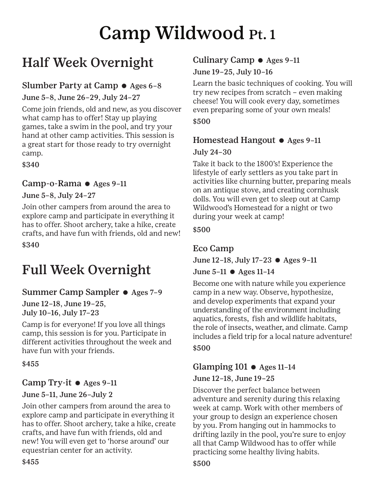# Camp Wildwood Pt. 1

## Half Week Overnight

## Slumber Party at Camp  $\bullet$  Ages 6-8

June 5–8, June 26–29, July 24–27

Come join friends, old and new, as you discover what camp has to offer! Stay up playing games, take a swim in the pool, and try your hand at other camp activities. This session is a great start for those ready to try overnight camp.

\$340

## Camp-o-Rama  $\bullet$  Ages 9-11

#### June 5–8, July 24–27

Join other campers from around the area to explore camp and participate in everything it has to offer. Shoot archery, take a hike, create crafts, and have fun with friends, old and new! \$340

## Full Week Overnight

## Summer Camp Sampler ● Ages 7-9

June 12–18, June 19–25, July 10–16, July 17–23

Camp is for everyone! If you love all things camp, this session is for you. Participate in different activities throughout the week and have fun with your friends.

#### \$455

#### Camp Try-it  $\bullet$  Ages 9-11

#### June 5–11, June 26–July 2

Join other campers from around the area to explore camp and participate in everything it has to offer. Shoot archery, take a hike, create crafts, and have fun with friends, old and new! You will even get to 'horse around' our equestrian center for an activity.

## Culinary Camp  $\bullet$  Ages 9-11

June 19–25, July 10–16

Learn the basic techniques of cooking. You will try new recipes from scratch – even making cheese! You will cook every day, sometimes even preparing some of your own meals! \$500

## Homestead Hangout  $\bullet$  Ages 9-11

#### July 24–30

Take it back to the 1800's! Experience the lifestyle of early settlers as you take part in activities like churning butter, preparing meals on an antique stove, and creating cornhusk dolls. You will even get to sleep out at Camp Wildwood's Homestead for a night or two during your week at camp!

#### \$500

## Eco Camp

June 12–18, July 17–23 e Ages 9–11

## June  $5-11$   $\bullet$  Ages  $11-14$

Become one with nature while you experience camp in a new way. Observe, hypothesize, and develop experiments that expand your understanding of the environment including aquatics, forests, fish and wildlife habitats, the role of insects, weather, and climate. Camp includes a field trip for a local nature adventure! \$500

## Glamping  $101 \bullet$  Ages  $11-14$

#### June 12–18, June 19–25

Discover the perfect balance between adventure and serenity during this relaxing week at camp. Work with other members of your group to design an experience chosen by you. From hanging out in hammocks to drifting lazily in the pool, you're sure to enjoy all that Camp Wildwood has to offer while practicing some healthy living habits.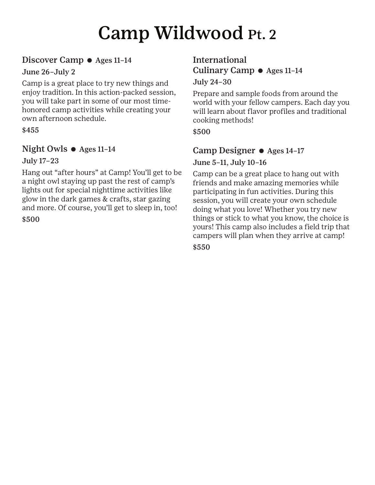# Camp Wildwood Pt. 2

#### Discover Camp  $\bullet$  Ages 11-14

#### June 26–July 2

Camp is a great place to try new things and enjoy tradition. In this action-packed session, you will take part in some of our most timehonored camp activities while creating your own afternoon schedule.

#### \$455

#### Night Owls  $\bullet$  Ages 11-14

#### July 17–23

Hang out "after hours" at Camp! You'll get to be a night owl staying up past the rest of camp's lights out for special nighttime activities like glow in the dark games & crafts, star gazing and more. Of course, you'll get to sleep in, too!

\$500

#### International Culinary Camp e Ages 11–14 July 24–30

Prepare and sample foods from around the world with your fellow campers. Each day you will learn about flavor profiles and traditional cooking methods!

#### \$500

#### Camp Designer  $\bullet$  Ages 14-17

#### June 5–11, July 10–16

Camp can be a great place to hang out with friends and make amazing memories while participating in fun activities. During this session, you will create your own schedule doing what you love! Whether you try new things or stick to what you know, the choice is yours! This camp also includes a field trip that campers will plan when they arrive at camp! \$550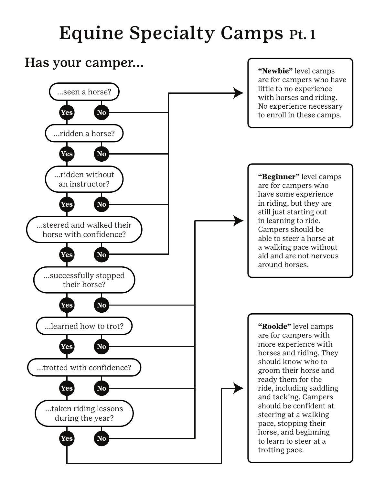# Equine Specialty Camps Pt. 1

## Has your camper... **The Contract of the Second Contract of the Viewbie"** level camps

...seen a horse?

**Yes No**

...ridden a horse?

**Yes No**

are for campers who have little to no experience with horses and riding. No experience necessary to enroll in these camps.

**"Beginner"** level camps are for campers who have some experience in riding, but they are still just starting out in learning to ride. Campers should be able to steer a horse at a walking pace without aid and are not nervous around horses.

**"Rookie"** level camps are for campers with more experience with horses and riding. They should know who to groom their horse and ready them for the ride, including saddling and tacking. Campers should be confident at steering at a walking pace, stopping their horse, and beginning to learn to steer at a trotting pace.

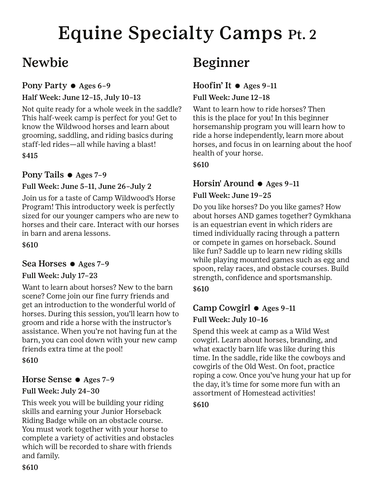# Equine Specialty Camps Pt. 2

## Newbie

### Pony Party  $\bullet$  Ages 6-9

#### Half Week: June 12–15, July 10–13

Not quite ready for a whole week in the saddle? This half-week camp is perfect for you! Get to know the Wildwood horses and learn about grooming, saddling, and riding basics during staff-led rides—all while having a blast!

\$415

#### Pony Tails  $\bullet$  Ages 7-9

#### Full Week: June 5–11, June 26–July 2

Join us for a taste of Camp Wildwood's Horse Program! This introductory week is perfectly sized for our younger campers who are new to horses and their care. Interact with our horses in barn and arena lessons.

\$610

#### Sea Horses  $\bullet$  Ages 7-9

#### Full Week: July 17–23

Want to learn about horses? New to the barn scene? Come join our fine furry friends and get an introduction to the wonderful world of horses. During this session, you'll learn how to groom and ride a horse with the instructor's assistance. When you're not having fun at the barn, you can cool down with your new camp friends extra time at the pool!

\$610

#### Horse Sense  $\bullet$  Ages 7-9

#### Full Week: July 24–30

This week you will be building your riding skills and earning your Junior Horseback Riding Badge while on an obstacle course. You must work together with your horse to complete a variety of activities and obstacles which will be recorded to share with friends and family.

## Beginner

## Hoofin' It  $\bullet$  Ages 9-11

#### Full Week: June 12–18

Want to learn how to ride horses? Then this is the place for you! In this beginner horsemanship program you will learn how to ride a horse independently, learn more about horses, and focus in on learning about the hoof health of your horse.

\$610

### Horsin' Around  $\bullet$  Ages 9-11

#### Full Week: June 19–25

Do you like horses? Do you like games? How about horses AND games together? Gymkhana is an equestrian event in which riders are timed individually racing through a pattern or compete in games on horseback. Sound like fun? Saddle up to learn new riding skills while playing mounted games such as egg and spoon, relay races, and obstacle courses. Build strength, confidence and sportsmanship.

\$610

## Camp Cowgirl  $\bullet$  Ages 9-11

#### Full Week: July 10–16

Spend this week at camp as a Wild West cowgirl. Learn about horses, branding, and what exactly barn life was like during this time. In the saddle, ride like the cowboys and cowgirls of the Old West. On foot, practice roping a cow. Once you've hung your hat up for the day, it's time for some more fun with an assortment of Homestead activities!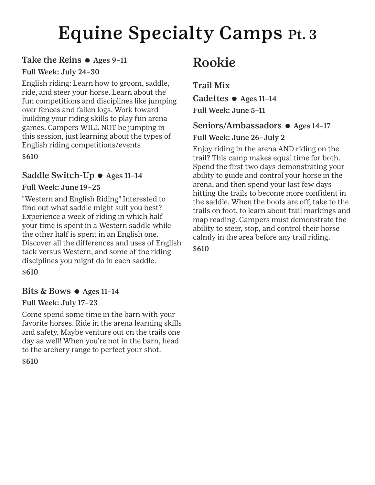# Equine Specialty Camps Pt. 3

#### Take the Reins  $\bullet$  Ages 9-11

#### Full Week: July 24–30

English riding: Learn how to groom, saddle, ride, and steer your horse. Learn about the fun competitions and disciplines like jumping over fences and fallen logs. Work toward building your riding skills to play fun arena games. Campers WILL NOT be jumping in this session, just learning about the types of English riding competitions/events

\$610

#### Saddle Switch-Up  $\bullet$  Ages 11-14

#### Full Week: June 19–25

"Western and English Riding" Interested to find out what saddle might suit you best? Experience a week of riding in which half your time is spent in a Western saddle while the other half is spent in an English one. Discover all the differences and uses of English tack versus Western, and some of the riding disciplines you might do in each saddle.

\$610

#### Bits & Bows  $\bullet$  Ages 11-14

#### Full Week: July 17–23

Come spend some time in the barn with your favorite horses. Ride in the arena learning skills and safety. Maybe venture out on the trails one day as well! When you're not in the barn, head to the archery range to perfect your shot.

\$610

## Rookie

Trail Mix Cadettes  $\bullet$  Ages 11-14 Full Week: June 5–11

### Seniors/Ambassadors  $\bullet$  Ages 14-17

Full Week: June 26–July 2

Enjoy riding in the arena AND riding on the trail? This camp makes equal time for both. Spend the first two days demonstrating your ability to guide and control your horse in the arena, and then spend your last few days hitting the trails to become more confident in the saddle. When the boots are off, take to the trails on foot, to learn about trail markings and map reading. Campers must demonstrate the ability to steer, stop, and control their horse calmly in the area before any trail riding.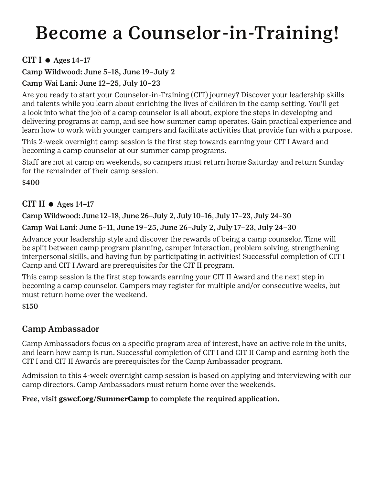# Become a Counselor-in-Training!

### CIT I  $\bullet$  Ages 14-17

Camp Wildwood: June 5–18, June 19–July 2

#### Camp Wai Lani: June 12–25, July 10–23

Are you ready to start your Counselor-in-Training (CIT) journey? Discover your leadership skills and talents while you learn about enriching the lives of children in the camp setting. You'll get a look into what the job of a camp counselor is all about, explore the steps in developing and delivering programs at camp, and see how summer camp operates. Gain practical experience and learn how to work with younger campers and facilitate activities that provide fun with a purpose.

This 2-week overnight camp session is the first step towards earning your CIT I Award and becoming a camp counselor at our summer camp programs.

Staff are not at camp on weekends, so campers must return home Saturday and return Sunday for the remainder of their camp session.

\$400

#### CIT II  $\bullet$  Ages 14-17

Camp Wildwood: June 12–18, June 26–July 2, July 10–16, July 17–23, July 24–30

#### Camp Wai Lani: June 5–11, June 19–25, June 26–July 2, July 17–23, July 24–30

Advance your leadership style and discover the rewards of being a camp counselor. Time will be split between camp program planning, camper interaction, problem solving, strengthening interpersonal skills, and having fun by participating in activities! Successful completion of CIT I Camp and CIT I Award are prerequisites for the CIT II program.

This camp session is the first step towards earning your CIT II Award and the next step in becoming a camp counselor. Campers may register for multiple and/or consecutive weeks, but must return home over the weekend.

\$150

## Camp Ambassador

Camp Ambassadors focus on a specific program area of interest, have an active role in the units, and learn how camp is run. Successful completion of CIT I and CIT II Camp and earning both the CIT I and CIT II Awards are prerequisites for the Camp Ambassador program.

Admission to this 4-week overnight camp session is based on applying and interviewing with our camp directors. Camp Ambassadors must return home over the weekends.

#### Free, visit **gswcf.org/SummerCamp** to complete the required application.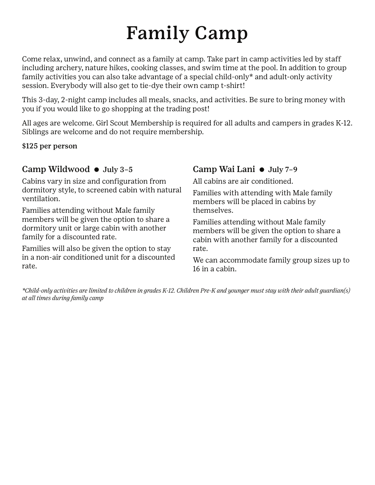# Family Camp

Come relax, unwind, and connect as a family at camp. Take part in camp activities led by staff including archery, nature hikes, cooking classes, and swim time at the pool. In addition to group family activities you can also take advantage of a special child-only\* and adult-only activity session. Everybody will also get to tie-dye their own camp t-shirt!

This 3-day, 2-night camp includes all meals, snacks, and activities. Be sure to bring money with you if you would like to go shopping at the trading post!

All ages are welcome. Girl Scout Membership is required for all adults and campers in grades K-12. Siblings are welcome and do not require membership.

\$125 per person

#### Camp Wildwood  $\bullet$  July 3-5

Cabins vary in size and configuration from dormitory style, to screened cabin with natural ventilation.

Families attending without Male family members will be given the option to share a dormitory unit or large cabin with another family for a discounted rate.

Families will also be given the option to stay in a non-air conditioned unit for a discounted rate.

## Camp Wai Lani  $\bullet$  July 7-9

All cabins are air conditioned.

Families with attending with Male family members will be placed in cabins by themselves.

Families attending without Male family members will be given the option to share a cabin with another family for a discounted rate.

We can accommodate family group sizes up to 16 in a cabin.

*\*Child-only activities are limited to children in grades K-12. Children Pre-K and younger must stay with their adult guardian(s) at all times during family camp*